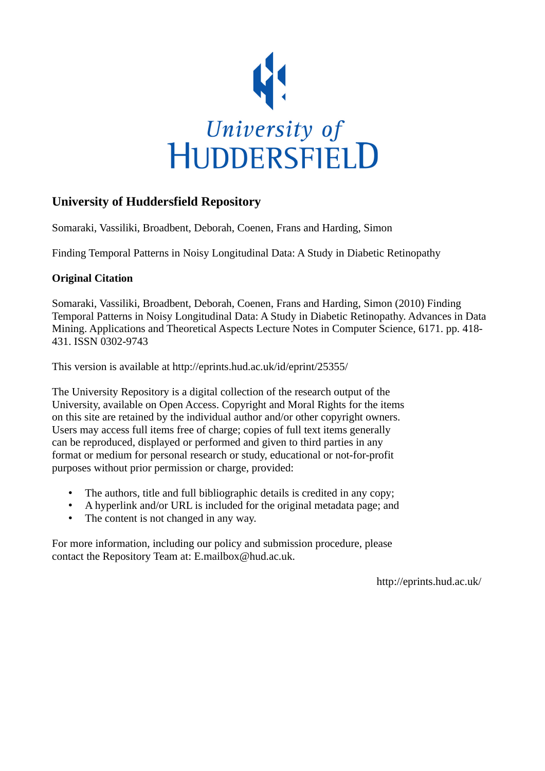

# **University of Huddersfield Repository**

Somaraki, Vassiliki, Broadbent, Deborah, Coenen, Frans and Harding, Simon

Finding Temporal Patterns in Noisy Longitudinal Data: A Study in Diabetic Retinopathy

# **Original Citation**

Somaraki, Vassiliki, Broadbent, Deborah, Coenen, Frans and Harding, Simon (2010) Finding Temporal Patterns in Noisy Longitudinal Data: A Study in Diabetic Retinopathy. Advances in Data Mining. Applications and Theoretical Aspects Lecture Notes in Computer Science, 6171. pp. 418- 431. ISSN 0302-9743

This version is available at http://eprints.hud.ac.uk/id/eprint/25355/

The University Repository is a digital collection of the research output of the University, available on Open Access. Copyright and Moral Rights for the items on this site are retained by the individual author and/or other copyright owners. Users may access full items free of charge; copies of full text items generally can be reproduced, displayed or performed and given to third parties in any format or medium for personal research or study, educational or not-for-profit purposes without prior permission or charge, provided:

- The authors, title and full bibliographic details is credited in any copy;
- A hyperlink and/or URL is included for the original metadata page; and
- The content is not changed in any way.

For more information, including our policy and submission procedure, please contact the Repository Team at: E.mailbox@hud.ac.uk.

http://eprints.hud.ac.uk/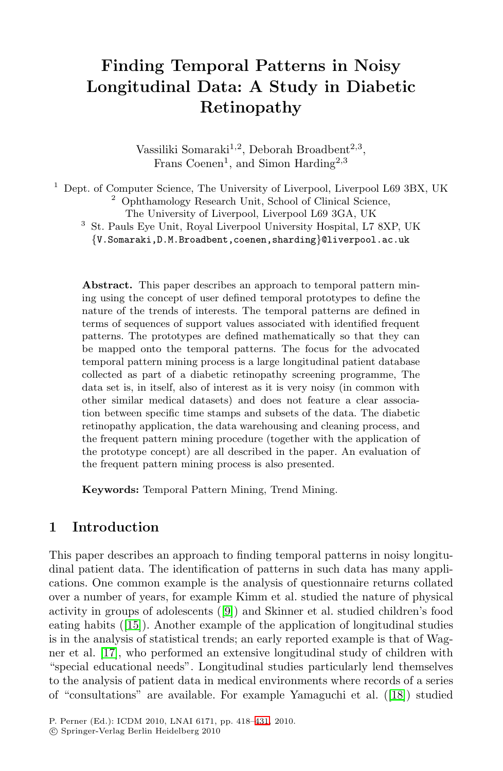# **Finding Temporal Patterns in Noisy Longitudinal Data: A Study in Diabetic Retinopathy**

Vassiliki Somaraki<sup>1,2</sup>, Deborah Broadbent<sup>2,3</sup>, Frans Coenen<sup>1</sup>, and Simon Harding<sup>2,3</sup>

<sup>1</sup> Dept. of Computer Science, The University of Liverpool, Liverpool L69 3BX, UK <sup>2</sup> Ophthamology Research Unit, School of Clinical Science, The University of Liverpool, Liverpool L69 3GA, UK <sup>3</sup> St. Pauls Eye Unit, Royal Liverpool University Hospital, L7 8XP, UK

*{*V.Somaraki,D.M.Broadbent,coenen,sharding*}*@liverpool.ac.uk

**Abstract.** This paper describes an approach to temporal pattern mining using the concept of user defined temporal prototypes to define the nature of the trends of interests. The temporal patterns are defined in terms of sequences of support values associated with identified frequent patterns. The prototypes are defined mathematically so that they can be mapped onto the temporal patterns. The focus for the advocated temporal pattern mining process is a large longitudinal patient database collected as part of a diabetic retinopathy screening programme, The data set is, in itself, also of interest as it is very noisy (in common with other similar medical datasets) and does not feature a clear association between specific time stamps and subsets of the data. The diabetic retinopathy application, the data warehousing and cleaning process, and the frequent pattern mining procedure (together with the application of the prototype concept) are all described in the paper. An evaluation of the frequent pattern mining process is also presented.

**Keywords:** Temporal Pattern Mining, Trend Mining.

### **1 Introduction**

This paper describes an approach to finding temporal patterns in noisy longitudinal patient data. The identification of patterns in such data has many applications. One common example is the analysis of questionnaire returns collated over a number of years, for example Kimm et al. studied the nature of physical activity in groups of adolescents ([\[9\]](#page-14-0)) and Skinner et al. studied children's food eating habits ([\[15\]](#page-14-1)). Another example of the application of longitudinal studies is in the analysis of statistical trends; an early reported example is that of Wagner et al. [\[17\]](#page-14-2), who performed an extensive longitudinal study of children with "special educational needs". Longitudinal studies particularly lend themselves to the analysis of patient data in medical environments where records of a series of "consultations" are available. For example Yamaguchi et al. ([\[18\]](#page-14-3)) studied

P. Perner (Ed.): ICDM 2010, LNAI 6171, pp. 418[–431,](#page-14-4) 2010.

<sup>-</sup>c Springer-Verlag Berlin Heidelberg 2010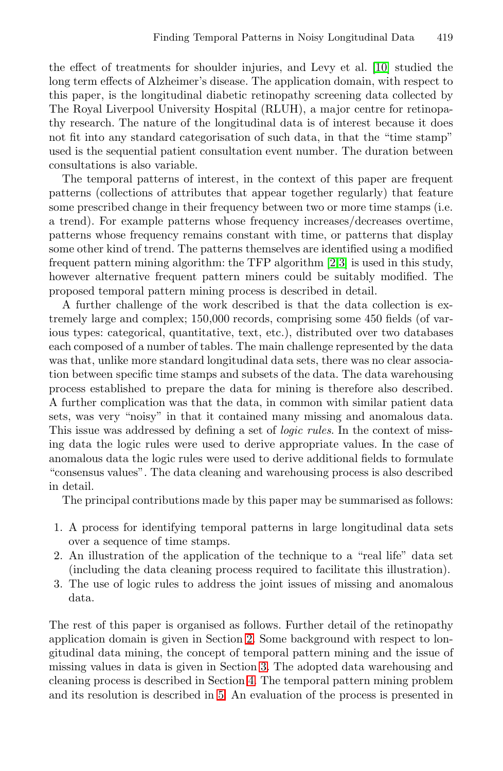the effect of treatments for shoulder injuries, and Levy et al. [\[10\]](#page-14-5) studied the long term effects of Alzheimer's disease. The application domain, with respect to this paper, is the longitudinal diabetic retinopathy screening data collected by The Royal Liverpool University Hospital (RLUH), a major centre for retinopathy research. The nature of the longitudinal data is of interest because it does not fit into any standard categorisation of such data, in that the "time stamp" used is the sequential patient consultation event number. The duration between consultations is also variable.

The temporal patterns of interest, in the context of this paper are frequent patterns (collections of attributes that appear together regularly) that feature some prescribed change in their frequency between two or more time stamps (i.e. a trend). For example patterns whose frequency increases/decreases overtime, patterns whose frequency remains constant with time, or patterns that display some other kind of trend. The patterns themselves are identified using a modified frequent pattern mining algorithm: the TFP algorithm [\[2](#page-13-0)[,3\]](#page-14-6) is used in this study, however alternative frequent pattern miners could be suitably modified. The proposed temporal pattern mining process is described in detail.

A further challenge of the work described is that the data collection is extremely large and complex; 150,000 records, comprising some 450 fields (of various types: categorical, quantitative, text, etc.), distributed over two databases each composed of a number of tables. The main challenge represented by the data was that, unlike more standard longitudinal data sets, there was no clear association between specific time stamps and subsets of the data. The data warehousing process established to prepare the data for mining is therefore also described. A further complication was that the data, in common with similar patient data sets, was very "noisy" in that it contained many missing and anomalous data. This issue was addressed by defining a set of *logic rules*. In the context of missing data the logic rules were used to derive appropriate values. In the case of anomalous data the logic rules were used to derive additional fields to formulate "consensus values". The data cleaning and warehousing process is also described in detail.

The principal contributions made by this paper may be summarised as follows:

- 1. A process for identifying temporal patterns in large longitudinal data sets over a sequence of time stamps.
- 2. An illustration of the application of the technique to a "real life" data set (including the data cleaning process required to facilitate this illustration).
- 3. The use of logic rules to address the joint issues of missing and anomalous data.

The rest of this paper is organised as follows. Further detail of the retinopathy application domain is given in Section [2.](#page-3-0) Some background with respect to longitudinal data mining, the concept of temporal pattern mining and the issue of missing values in data is given in Section [3.](#page-4-0) The adopted data warehousing and cleaning process is described in Section [4.](#page-6-0) The temporal pattern mining problem and its resolution is described in [5.](#page-10-0) An evaluation of the process is presented in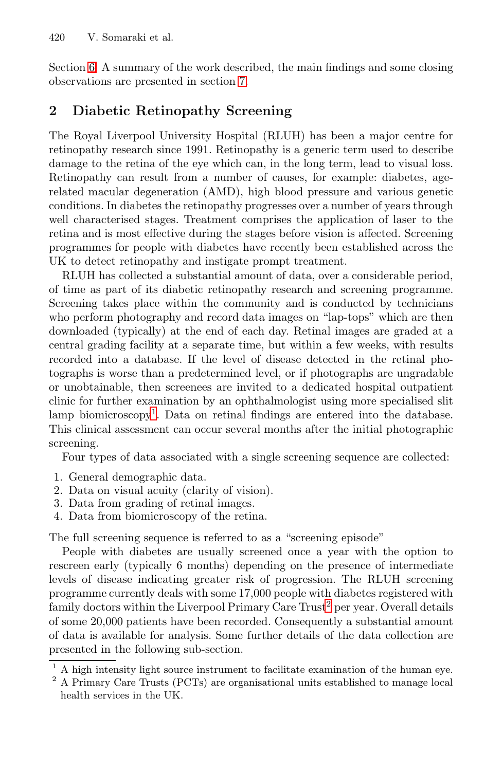Section [6.](#page-11-0) A summary of the work described, the main findings and some closing observations are presented in section [7.](#page-13-1)

# <span id="page-3-0"></span>**2 Diabetic Retinopathy Screening**

The Royal Liverpool University Hospital (RLUH) has been a major centre for retinopathy research since 1991. Retinopathy is a generic term used to describe damage to the retina of the eye which can, in the long term, lead to visual loss. Retinopathy can result from a number of causes, for example: diabetes, agerelated macular degeneration (AMD), high blood pressure and various genetic conditions. In diabetes the retinopathy progresses over a number of years through well characterised stages. Treatment comprises the application of laser to the retina and is most effective during the stages before vision is affected. Screening programmes for people with diabetes have recently been established across the UK to detect retinopathy and instigate prompt treatment.

RLUH has collected a substantial amount of data, over a considerable period, of time as part of its diabetic retinopathy research and screening programme. Screening takes place within the community and is conducted by technicians who perform photography and record data images on "lap-tops" which are then downloaded (typically) at the end of each day. Retinal images are graded at a central grading facility at a separate time, but within a few weeks, with results recorded into a database. If the level of disease detected in the retinal photographs is worse than a predetermined level, or if photographs are ungradable or unobtainable, then screenees are invited to a dedicated hospital outpatient clinic for further examination by an ophthalmologist using more specialised slit lamp biomicroscopy<sup>[1](#page-3-1)</sup>. Data on retinal findings are entered into the database. This clinical assessment can occur several months after the initial photographic screening.

Four types of data associated with a single screening sequence are collected:

- 1. General demographic data.
- 2. Data on visual acuity (clarity of vision).
- 3. Data from grading of retinal images.
- 4. Data from biomicroscopy of the retina.

The full screening sequence is referred to as a "screening episode"

People with diabetes are usually screened once a year with the option to rescreen early (typically 6 months) depending on the presence of intermediate levels of disease indicating greater risk of progression. The RLUH screening programme currently deals with some 17,000 people with diabetes registered with family doctors within the Liverpool Primary Care Trust<sup>[2](#page-3-2)</sup> per year. Overall details of some 20,000 patients have been recorded. Consequently a substantial amount of data is available for analysis. Some further details of the data collection are presented in the following sub-section.

<sup>1</sup> A high intensity light source instrument to facilitate examination of the human eye.

<span id="page-3-2"></span><span id="page-3-1"></span><sup>2</sup> A Primary Care Trusts (PCTs) are organisational units established to manage local health services in the UK.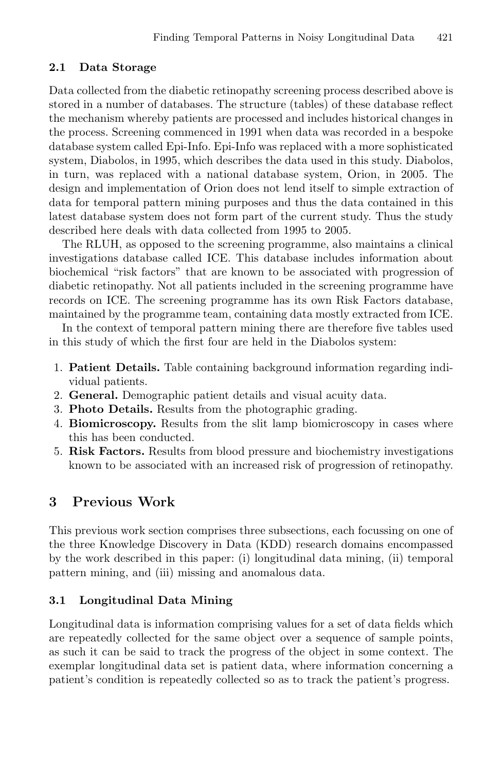### **2.1 Data Storage**

Data collected from the diabetic retinopathy screening process described above is stored in a number of databases. The structure (tables) of these database reflect the mechanism whereby patients are processed and includes historical changes in the process. Screening commenced in 1991 when data was recorded in a bespoke database system called Epi-Info. Epi-Info was replaced with a more sophisticated system, Diabolos, in 1995, which describes the data used in this study. Diabolos, in turn, was replaced with a national database system, Orion, in 2005. The design and implementation of Orion does not lend itself to simple extraction of data for temporal pattern mining purposes and thus the data contained in this latest database system does not form part of the current study. Thus the study described here deals with data collected from 1995 to 2005.

The RLUH, as opposed to the screening programme, also maintains a clinical investigations database called ICE. This database includes information about biochemical "risk factors" that are known to be associated with progression of diabetic retinopathy. Not all patients included in the screening programme have records on ICE. The screening programme has its own Risk Factors database, maintained by the programme team, containing data mostly extracted from ICE.

In the context of temporal pattern mining there are therefore five tables used in this study of which the first four are held in the Diabolos system:

- 1. **Patient Details.** Table containing background information regarding individual patients.
- 2. **General.** Demographic patient details and visual acuity data.
- 3. **Photo Details.** Results from the photographic grading.
- 4. **Biomicroscopy.** Results from the slit lamp biomicroscopy in cases where this has been conducted.
- 5. **Risk Factors.** Results from blood pressure and biochemistry investigations known to be associated with an increased risk of progression of retinopathy.

# <span id="page-4-0"></span>**3 Previous Work**

This previous work section comprises three subsections, each focussing on one of the three Knowledge Discovery in Data (KDD) research domains encompassed by the work described in this paper: (i) longitudinal data mining, (ii) temporal pattern mining, and (iii) missing and anomalous data.

### **3.1 Longitudinal Data Mining**

Longitudinal data is information comprising values for a set of data fields which are repeatedly collected for the same object over a sequence of sample points, as such it can be said to track the progress of the object in some context. The exemplar longitudinal data set is patient data, where information concerning a patient's condition is repeatedly collected so as to track the patient's progress.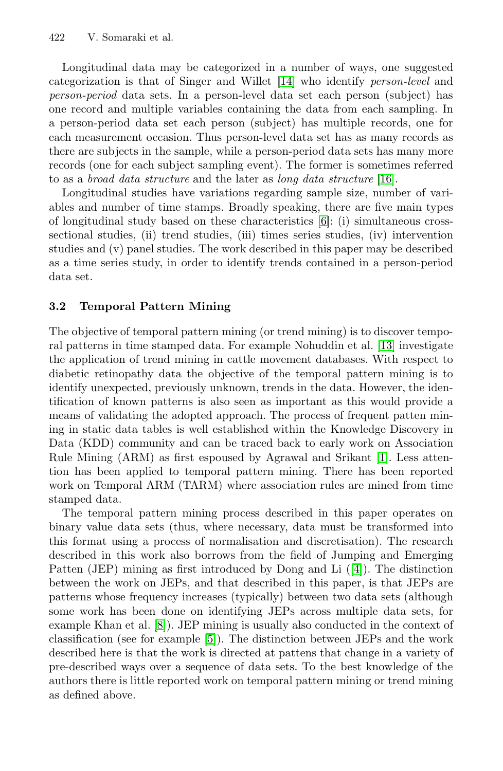Longitudinal data may be categorized in a number of ways, one suggested categorization is that of Singer and Willet [\[14\]](#page-14-7) who identify *person-level* and *person-period* data sets. In a person-level data set each person (subject) has one record and multiple variables containing the data from each sampling. In a person-period data set each person (subject) has multiple records, one for each measurement occasion. Thus person-level data set has as many records as there are subjects in the sample, while a person-period data sets has many more records (one for each subject sampling event). The former is sometimes referred to as a *broad data structure* and the later as *long data structure* [\[16\]](#page-14-8).

Longitudinal studies have variations regarding sample size, number of variables and number of time stamps. Broadly speaking, there are five main types of longitudinal study based on these characteristics [\[6\]](#page-14-9): (i) simultaneous crosssectional studies, (ii) trend studies, (iii) times series studies, (iv) intervention studies and (v) panel studies. The work described in this paper may be described as a time series study, in order to identify trends contained in a person-period data set.

### **3.2 Temporal Pattern Mining**

The objective of temporal pattern mining (or trend mining) is to discover temporal patterns in time stamped data. For example Nohuddin et al. [\[13\]](#page-14-10) investigate the application of trend mining in cattle movement databases. With respect to diabetic retinopathy data the objective of the temporal pattern mining is to identify unexpected, previously unknown, trends in the data. However, the identification of known patterns is also seen as important as this would provide a means of validating the adopted approach. The process of frequent patten mining in static data tables is well established within the Knowledge Discovery in Data (KDD) community and can be traced back to early work on Association Rule Mining (ARM) as first espoused by Agrawal and Srikant [\[1\]](#page-13-2). Less attention has been applied to temporal pattern mining. There has been reported work on Temporal ARM (TARM) where association rules are mined from time stamped data.

The temporal pattern mining process described in this paper operates on binary value data sets (thus, where necessary, data must be transformed into this format using a process of normalisation and discretisation). The research described in this work also borrows from the field of Jumping and Emerging Patten (JEP) mining as first introduced by Dong and Li ([\[4\]](#page-14-11)). The distinction between the work on JEPs, and that described in this paper, is that JEPs are patterns whose frequency increases (typically) between two data sets (although some work has been done on identifying JEPs across multiple data sets, for example Khan et al. [\[8\]](#page-14-12)). JEP mining is usually also conducted in the context of classification (see for example [\[5\]](#page-14-13)). The distinction between JEPs and the work described here is that the work is directed at pattens that change in a variety of pre-described ways over a sequence of data sets. To the best knowledge of the authors there is little reported work on temporal pattern mining or trend mining as defined above.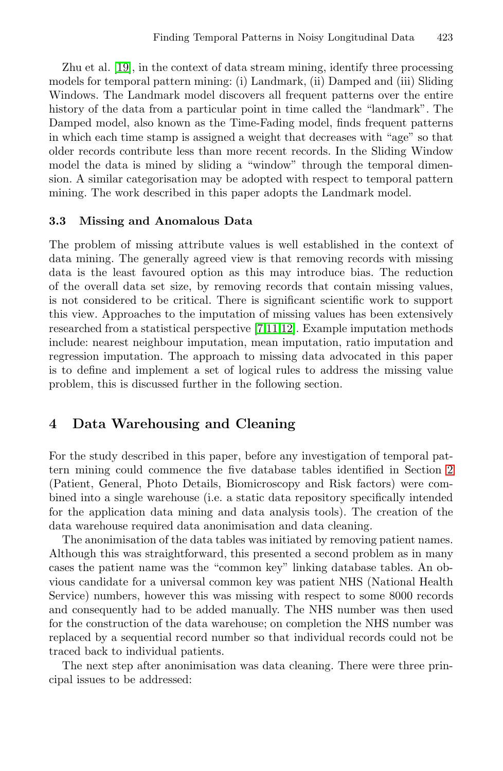Zhu et al. [\[19\]](#page-14-14), in the context of data stream mining, identify three processing models for temporal pattern mining: (i) Landmark, (ii) Damped and (iii) Sliding Windows. The Landmark model discovers all frequent patterns over the entire history of the data from a particular point in time called the "landmark". The Damped model, also known as the Time-Fading model, finds frequent patterns in which each time stamp is assigned a weight that decreases with "age" so that older records contribute less than more recent records. In the Sliding Window model the data is mined by sliding a "window" through the temporal dimension. A similar categorisation may be adopted with respect to temporal pattern mining. The work described in this paper adopts the Landmark model.

#### **3.3 Missing and Anomalous Data**

The problem of missing attribute values is well established in the context of data mining. The generally agreed view is that removing records with missing data is the least favoured option as this may introduce bias. The reduction of the overall data set size, by removing records that contain missing values, is not considered to be critical. There is significant scientific work to support this view. Approaches to the imputation of missing values has been extensively researched from a statistical perspective [\[7,](#page-14-15)[11,](#page-14-16)[12\]](#page-14-17). Example imputation methods include: nearest neighbour imputation, mean imputation, ratio imputation and regression imputation. The approach to missing data advocated in this paper is to define and implement a set of logical rules to address the missing value problem, this is discussed further in the following section.

### <span id="page-6-0"></span>**4 Data Warehousing and Cleaning**

For the study described in this paper, before any investigation of temporal pattern mining could commence the five database tables identified in Section [2](#page-3-0) (Patient, General, Photo Details, Biomicroscopy and Risk factors) were combined into a single warehouse (i.e. a static data repository specifically intended for the application data mining and data analysis tools). The creation of the data warehouse required data anonimisation and data cleaning.

The anonimisation of the data tables was initiated by removing patient names. Although this was straightforward, this presented a second problem as in many cases the patient name was the "common key" linking database tables. An obvious candidate for a universal common key was patient NHS (National Health Service) numbers, however this was missing with respect to some 8000 records and consequently had to be added manually. The NHS number was then used for the construction of the data warehouse; on completion the NHS number was replaced by a sequential record number so that individual records could not be traced back to individual patients.

The next step after anonimisation was data cleaning. There were three principal issues to be addressed: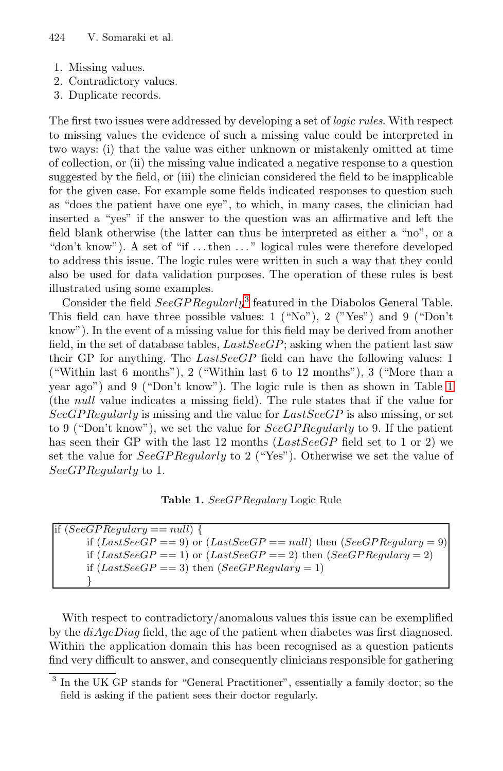- 1. Missing values.
- 2. Contradictory values.
- 3. Duplicate records.

The first two issues were addressed by developing a set of *logic rules*. With respect to missing values the evidence of such a missing value could be interpreted in two ways: (i) that the value was either unknown or mistakenly omitted at time of collection, or (ii) the missing value indicated a negative response to a question suggested by the field, or (iii) the clinician considered the field to be inapplicable for the given case. For example some fields indicated responses to question such as "does the patient have one eye", to which, in many cases, the clinician had inserted a "yes" if the answer to the question was an affirmative and left the field blank otherwise (the latter can thus be interpreted as either a "no", or a "don't know"). A set of "if ...then ..." logical rules were therefore developed to address this issue. The logic rules were written in such a way that they could also be used for data validation purposes. The operation of these rules is best illustrated using some examples.

Consider the field *SeeGP Regularly*[3](#page-7-0) featured in the Diabolos General Table. This field can have three possible values: 1 ("No"), 2 ("Yes") and 9 ("Don't know"). In the event of a missing value for this field may be derived from another field, in the set of database tables, *LastSeeGP*; asking when the patient last saw their GP for anything. The *LastSeeGP* field can have the following values: 1 ("Within last 6 months"), 2 ("Within last 6 to 12 months"), 3 ("More than a year ago") and 9 ("Don't know"). The logic rule is then as shown in Table [1](#page-7-1) (the *null* value indicates a missing field). The rule states that if the value for *SeeGP Regularly* is missing and the value for *LastSeeGP* is also missing, or set to 9 ("Don't know"), we set the value for *SeeGP Regularly* to 9. If the patient has seen their GP with the last 12 months (*LastSeeGP* field set to 1 or 2) we set the value for *SeeGP Regularly* to 2 ("Yes"). Otherwise we set the value of *SeeGP Regularly* to 1.

<span id="page-7-1"></span>**Table 1.** *SeeGP Regulary* Logic Rule

if  $(SeeGPRegularity == null)$  { if  $(LastSeeGP == 9)$  or  $(LastSeeGP == null)$  then  $(SeeGPRegulary = 9)$ if  $(LastSeeGP == 1)$  or  $(LastSeeGP == 2)$  then  $(SeeGPRegulary = 2)$ if  $(LastSeeGP == 3)$  then  $(SeeGP Regulary = 1)$ *}*

With respect to contradictory/anomalous values this issue can be exemplified by the *diAgeDiag* field, the age of the patient when diabetes was first diagnosed. Within the application domain this has been recognised as a question patients find very difficult to answer, and consequently clinicians responsible for gathering

<span id="page-7-0"></span><sup>3</sup> In the UK GP stands for "General Practitioner", essentially a family doctor; so the field is asking if the patient sees their doctor regularly.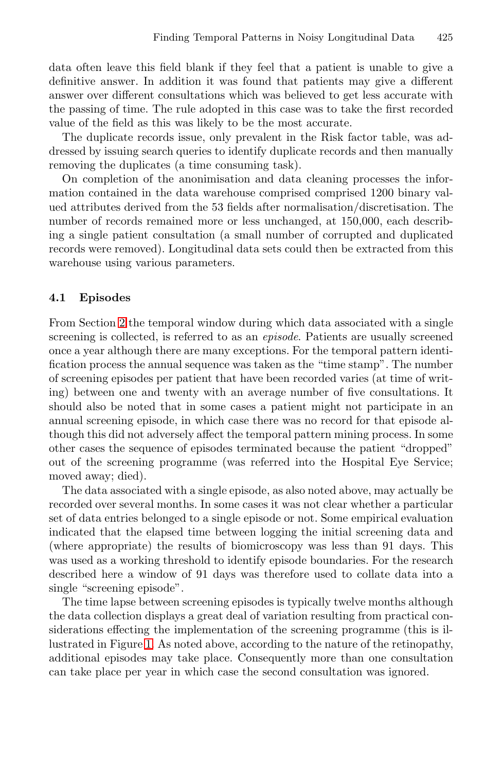data often leave this field blank if they feel that a patient is unable to give a definitive answer. In addition it was found that patients may give a different answer over different consultations which was believed to get less accurate with the passing of time. The rule adopted in this case was to take the first recorded value of the field as this was likely to be the most accurate.

The duplicate records issue, only prevalent in the Risk factor table, was addressed by issuing search queries to identify duplicate records and then manually removing the duplicates (a time consuming task).

On completion of the anonimisation and data cleaning processes the information contained in the data warehouse comprised comprised 1200 binary valued attributes derived from the 53 fields after normalisation/discretisation. The number of records remained more or less unchanged, at 150,000, each describing a single patient consultation (a small number of corrupted and duplicated records were removed). Longitudinal data sets could then be extracted from this warehouse using various parameters.

#### **4.1 Episodes**

From Section [2](#page-3-0) the temporal window during which data associated with a single screening is collected, is referred to as an *episode*. Patients are usually screened once a year although there are many exceptions. For the temporal pattern identification process the annual sequence was taken as the "time stamp". The number of screening episodes per patient that have been recorded varies (at time of writing) between one and twenty with an average number of five consultations. It should also be noted that in some cases a patient might not participate in an annual screening episode, in which case there was no record for that episode although this did not adversely affect the temporal pattern mining process. In some other cases the sequence of episodes terminated because the patient "dropped" out of the screening programme (was referred into the Hospital Eye Service; moved away; died).

The data associated with a single episode, as also noted above, may actually be recorded over several months. In some cases it was not clear whether a particular set of data entries belonged to a single episode or not. Some empirical evaluation indicated that the elapsed time between logging the initial screening data and (where appropriate) the results of biomicroscopy was less than 91 days. This was used as a working threshold to identify episode boundaries. For the research described here a window of 91 days was therefore used to collate data into a single "screening episode".

The time lapse between screening episodes is typically twelve months although the data collection displays a great deal of variation resulting from practical considerations effecting the implementation of the screening programme (this is illustrated in Figure [1.](#page-9-0) As noted above, according to the nature of the retinopathy, additional episodes may take place. Consequently more than one consultation can take place per year in which case the second consultation was ignored.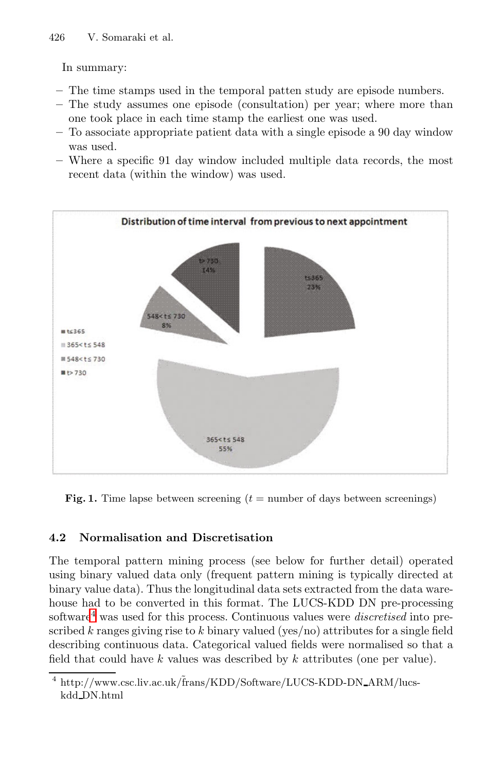In summary:

- **–** The time stamps used in the temporal patten study are episode numbers.
- **–** The study assumes one episode (consultation) per year; where more than one took place in each time stamp the earliest one was used.
- **–** To associate appropriate patient data with a single episode a 90 day window was used.
- **–** Where a specific 91 day window included multiple data records, the most recent data (within the window) was used.



<span id="page-9-0"></span>**Fig. 1.** Time lapse between screening  $(t =$  number of days between screenings)

### **4.2 Normalisation and Discretisation**

The temporal pattern mining process (see below for further detail) operated using binary valued data only (frequent pattern mining is typically directed at binary value data). Thus the longitudinal data sets extracted from the data warehouse had to be converted in this format. The LUCS-KDD DN pre-processing software[4](#page-9-1) was used for this process. Continuous values were *discretised* into prescribed *k* ranges giving rise to *k* binary valued (yes/no) attributes for a single field describing continuous data. Categorical valued fields were normalised so that a field that could have *k* values was described by *k* attributes (one per value).

<span id="page-9-1"></span><sup>&</sup>lt;sup>4</sup> http://www.csc.liv.ac.uk/ $\tilde{f}$ rans/KDD/Software/LUCS-KDD-DN\_ARM/lucskdd DN.html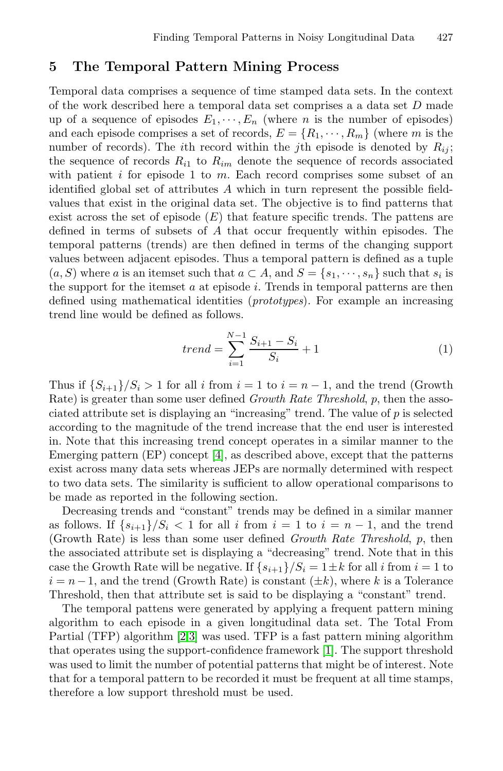#### <span id="page-10-0"></span>**5 The Temporal Pattern Mining Process**

Temporal data comprises a sequence of time stamped data sets. In the context of the work described here a temporal data set comprises a a data set *D* made up of a sequence of episodes  $E_1, \dots, E_n$  (where *n* is the number of episodes) and each episode comprises a set of records,  $E = \{R_1, \dots, R_m\}$  (where *m* is the number of records). The *i*th record within the *j*th episode is denoted by  $R_{ij}$ ; the sequence of records  $R_{i1}$  to  $R_{im}$  denote the sequence of records associated with patient *i* for episode 1 to *m*. Each record comprises some subset of an identified global set of attributes *A* which in turn represent the possible fieldvalues that exist in the original data set. The objective is to find patterns that exist across the set of episode  $(E)$  that feature specific trends. The pattens are defined in terms of subsets of *A* that occur frequently within episodes. The temporal patterns (trends) are then defined in terms of the changing support values between adjacent episodes. Thus a temporal pattern is defined as a tuple  $(a, S)$  where *a* is an itemset such that  $a \subset A$ , and  $S = \{s_1, \dots, s_n\}$  such that  $s_i$  is the support for the itemset *a* at episode *i*. Trends in temporal patterns are then defined using mathematical identities (*prototypes*). For example an increasing trend line would be defined as follows.

$$
trend = \sum_{i=1}^{N-1} \frac{S_{i+1} - S_i}{S_i} + 1\tag{1}
$$

Thus if  $\{S_{i+1}\}/S_i > 1$  for all *i* from  $i = 1$  to  $i = n - 1$ , and the trend (Growth Rate) is greater than some user defined *Growth Rate Threshold*, *p*, then the associated attribute set is displaying an "increasing" trend. The value of *p* is selected according to the magnitude of the trend increase that the end user is interested in. Note that this increasing trend concept operates in a similar manner to the Emerging pattern (EP) concept [\[4\]](#page-14-11), as described above, except that the patterns exist across many data sets whereas JEPs are normally determined with respect to two data sets. The similarity is sufficient to allow operational comparisons to be made as reported in the following section.

Decreasing trends and "constant" trends may be defined in a similar manner as follows. If  $\{s_{i+1}\}/S_i < 1$  for all *i* from  $i = 1$  to  $i = n-1$ , and the trend (Growth Rate) is less than some user defined *Growth Rate Threshold*, *p*, then the associated attribute set is displaying a "decreasing" trend. Note that in this case the Growth Rate will be negative. If  $\{s_{i+1}\}/S_i = 1 \pm k$  for all *i* from  $i = 1$  to  $i = n-1$ , and the trend (Growth Rate) is constant  $(\pm k)$ , where *k* is a Tolerance Threshold, then that attribute set is said to be displaying a "constant" trend.

The temporal pattens were generated by applying a frequent pattern mining algorithm to each episode in a given longitudinal data set. The Total From Partial (TFP) algorithm [\[2,](#page-13-0)[3\]](#page-14-6) was used. TFP is a fast pattern mining algorithm that operates using the support-confidence framework [\[1\]](#page-13-2). The support threshold was used to limit the number of potential patterns that might be of interest. Note that for a temporal pattern to be recorded it must be frequent at all time stamps, therefore a low support threshold must be used.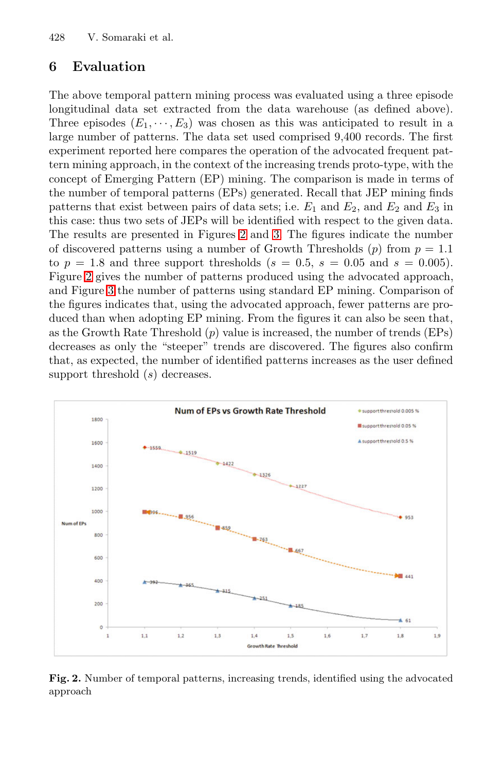# <span id="page-11-0"></span>**6 Evaluation**

The above temporal pattern mining process was evaluated using a three episode longitudinal data set extracted from the data warehouse (as defined above). Three episodes  $(E_1, \dots, E_3)$  was chosen as this was anticipated to result in a large number of patterns. The data set used comprised 9,400 records. The first experiment reported here compares the operation of the advocated frequent pattern mining approach, in the context of the increasing trends proto-type, with the concept of Emerging Pattern (EP) mining. The comparison is made in terms of the number of temporal patterns (EPs) generated. Recall that JEP mining finds patterns that exist between pairs of data sets; i.e.  $E_1$  and  $E_2$ , and  $E_2$  and  $E_3$  in this case: thus two sets of JEPs will be identified with respect to the given data. The results are presented in Figures [2](#page-11-1) and [3.](#page-12-0) The figures indicate the number of discovered patterns using a number of Growth Thresholds (*p*) from *p* = 1*.*1 to  $p = 1.8$  and three support thresholds  $(s = 0.5, s = 0.05, s = 0.005)$ . Figure [2](#page-11-1) gives the number of patterns produced using the advocated approach, and Figure [3](#page-12-0) the number of patterns using standard EP mining. Comparison of the figures indicates that, using the advocated approach, fewer patterns are produced than when adopting EP mining. From the figures it can also be seen that, as the Growth Rate Threshold (*p*) value is increased, the number of trends (EPs) decreases as only the "steeper" trends are discovered. The figures also confirm that, as expected, the number of identified patterns increases as the user defined support threshold (*s*) decreases.



<span id="page-11-1"></span>**Fig. 2.** Number of temporal patterns, increasing trends, identified using the advocated approach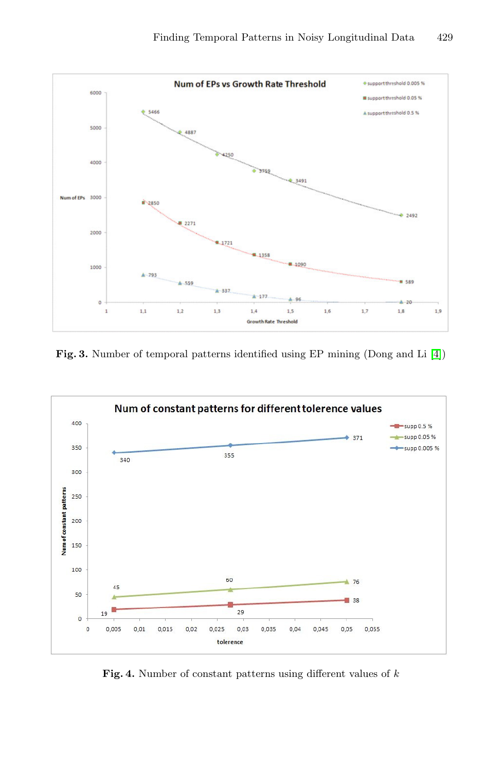

<span id="page-12-0"></span>**Fig. 3.** Number of temporal patterns identified using EP mining (Dong and Li [\[4\]](#page-14-11))



<span id="page-12-1"></span>**Fig. 4.** Number of constant patterns using different values of *k*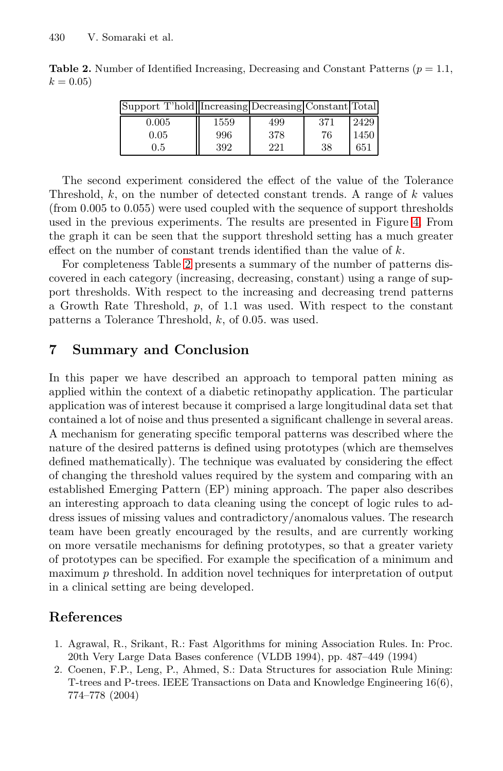<span id="page-13-3"></span>

| Support T'hold Increasing Decreasing Constant Total |      |     |     |      |
|-----------------------------------------------------|------|-----|-----|------|
| 0.005                                               | 1559 | 499 | 371 | 2429 |
| 0.05                                                | 996  | 378 | 76  | 1450 |
| 0.5                                                 | 392  | 221 | 38  | 651  |

**Table 2.** Number of Identified Increasing, Decreasing and Constant Patterns (*p* = 1*.*1,  $k = 0.05$ 

The second experiment considered the effect of the value of the Tolerance Threshold, *k*, on the number of detected constant trends. A range of *k* values (from 0.005 to 0.055) were used coupled with the sequence of support thresholds used in the previous experiments. The results are presented in Figure [4.](#page-12-1) From the graph it can be seen that the support threshold setting has a much greater effect on the number of constant trends identified than the value of *k*.

For completeness Table [2](#page-13-3) presents a summary of the number of patterns discovered in each category (increasing, decreasing, constant) using a range of support thresholds. With respect to the increasing and decreasing trend patterns a Growth Rate Threshold, *p*, of 1*.*1 was used. With respect to the constant patterns a Tolerance Threshold, *k*, of 0.05. was used.

# <span id="page-13-1"></span>**7 Summary and Conclusion**

In this paper we have described an approach to temporal patten mining as applied within the context of a diabetic retinopathy application. The particular application was of interest because it comprised a large longitudinal data set that contained a lot of noise and thus presented a significant challenge in several areas. A mechanism for generating specific temporal patterns was described where the nature of the desired patterns is defined using prototypes (which are themselves defined mathematically). The technique was evaluated by considering the effect of changing the threshold values required by the system and comparing with an established Emerging Pattern (EP) mining approach. The paper also describes an interesting approach to data cleaning using the concept of logic rules to address issues of missing values and contradictory/anomalous values. The research team have been greatly encouraged by the results, and are currently working on more versatile mechanisms for defining prototypes, so that a greater variety of prototypes can be specified. For example the specification of a minimum and maximum *p* threshold. In addition novel techniques for interpretation of output in a clinical setting are being developed.

# **References**

- <span id="page-13-2"></span>1. Agrawal, R., Srikant, R.: Fast Algorithms for mining Association Rules. In: Proc. 20th Very Large Data Bases conference (VLDB 1994), pp. 487–449 (1994)
- <span id="page-13-0"></span>2. Coenen, F.P., Leng, P., Ahmed, S.: Data Structures for association Rule Mining: T-trees and P-trees. IEEE Transactions on Data and Knowledge Engineering 16(6), 774–778 (2004)